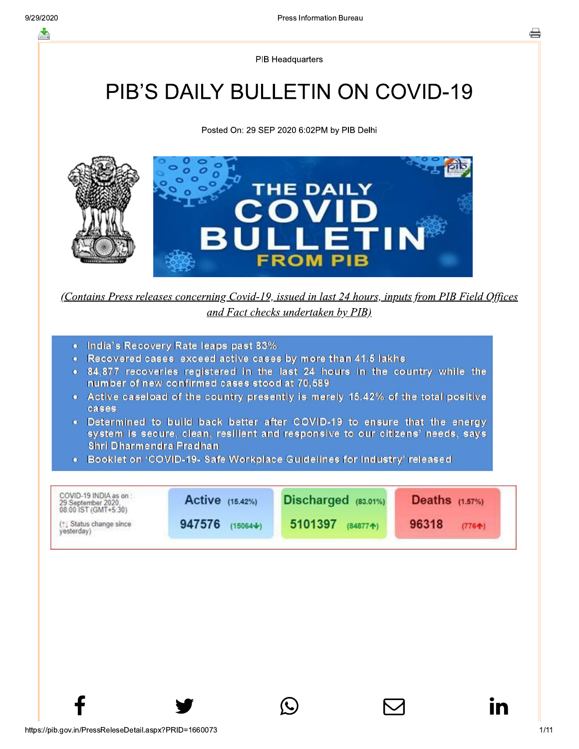**PIB Headquarters** 

# **PIB'S DAILY BULLETIN ON COVID-19**

Posted On: 29 SEP 2020 6:02PM by PIB Delhi



(Contains Press releases concerning Covid-19, issued in last 24 hours, inputs from PIB Field Offices and Fact checks undertaken by PIB)

- India's Recovery Rate leaps past 83%
- Recovered cases exceed active cases by more than 41.5 lakhs
- . 84,877 recoveries registered in the last 24 hours in the country while the number of new confirmed cases stood at 70,589
- Active caseload of the country presently is merely 15.42% of the total positive cases
- . Determined to build back better after COVID-19 to ensure that the energy system is secure, clean, resilient and responsive to our citizens' needs, says Shri Dharmendra Pradhan
- Booklet on 'COVID-19- Safe Workplace Guidelines for Industry' released

| COVID-19 INDIA as on:<br>29 September 2020.<br>08:00 IST (GMT+5:30) | <b>Active</b> (15.42%) | $Discharged$ $(83.01\%)$ | <b>Deaths</b> (1.57%) |  |
|---------------------------------------------------------------------|------------------------|--------------------------|-----------------------|--|
| (1) Status change since                                             | 947576                 | 5101397                  | 96318                 |  |
| yesterday)                                                          | $(15064 \text{V})$     | $(84877*)$               | (7764)                |  |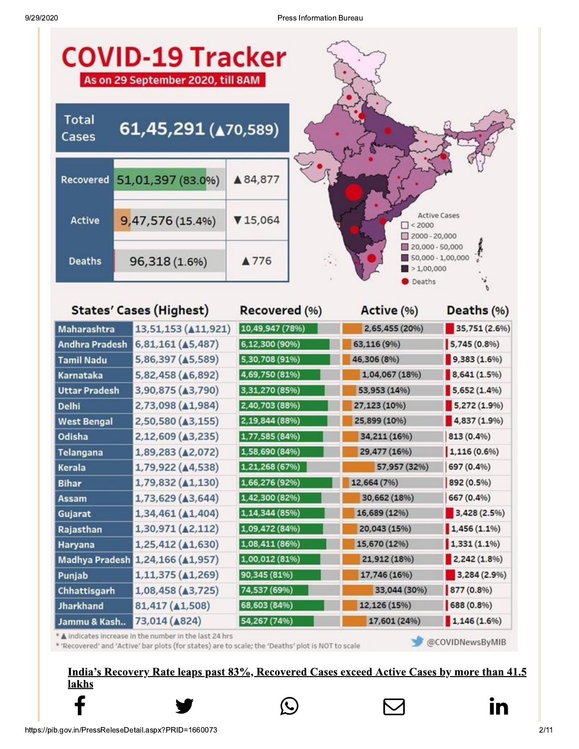| <b>COVID-19 Tracker</b><br>As on 29 September 2020, till 8AM |                                  |                 |                                                                                    |                     |  |  |  |
|--------------------------------------------------------------|----------------------------------|-----------------|------------------------------------------------------------------------------------|---------------------|--|--|--|
| <b>Total</b><br>Cases                                        | 61,45,291 (470,589)              |                 |                                                                                    |                     |  |  |  |
| Recovered                                                    | 51,01,397 (83.0%)                | ▲84,877         |                                                                                    |                     |  |  |  |
| <b>Active</b>                                                | 9,47,576 (15.4%)                 | 715,064         | $\Box$ < 2000<br>$2000 - 20,000$                                                   | <b>Active Cases</b> |  |  |  |
| <b>Deaths</b>                                                | 96,318 (1.6%)                    | ▲776            | $20,000 - 50,000$<br>50,000 - 1,00,000<br>$\blacktriangleright$ 1,00,000<br>Deaths |                     |  |  |  |
|                                                              | <b>States' Cases (Highest)</b>   | Recovered (%)   | Active (%)                                                                         | Deaths (%)          |  |  |  |
| <b>Maharashtra</b>                                           | 13,51,153 ( $\triangle$ 11,921)  | 10,49,947 (78%) | 2,65,455 (20%)                                                                     | 35,751 (2.6%)       |  |  |  |
| <b>Andhra Pradesh</b>                                        | $6,81,161$ ( $\triangle 5,487$ ) | 6,12,300 (90%)  | 63,116 (9%)                                                                        | 5,745(0.8%          |  |  |  |
| <b>Tamil Nadu</b>                                            | 5,86,397 (45,589)                | 5,30,708 (91%)  | 46,306 (8%)                                                                        | 9,383(1.6%)         |  |  |  |
| Karnataka                                                    | 5,82,458 ( $\triangle$ 6,892)    | 4,69,750 (81%)  | 1,04,067 (18%)                                                                     | 8,641(1.5%)         |  |  |  |
| <b>Uttar Pradesh</b>                                         | 3,90,875 ( $\triangle$ 3,790)    | 3,31,270 (85%)  | 53,953 (14%)                                                                       | $5,652(1.4\%)$      |  |  |  |
| <b>Delhi</b>                                                 | 2,73,098 ( $\triangle$ 1,984)    | 2,40,703 (88%)  | 27,123 (10%)                                                                       | 5,272 (1.9%)        |  |  |  |
| <b>West Bengal</b>                                           | 2,50,580 ( $\triangle$ 3,155)    | 2,19,844 (88%)  | 25,899 (10%)                                                                       | 4,837 (1.9%)        |  |  |  |
| Odisha                                                       | 2,12,609 (43,235)                | 1,77,585 (84%)  | 34,211 (16%)                                                                       | 813 (0.4%)          |  |  |  |
| <b>Telangana</b>                                             | 1,89,283 (A2,072)                | 1,58,690 (84%)  | 29,477 (16%)                                                                       | $1,116(0.6\%)$      |  |  |  |
| Kerala                                                       | 1,79,922 (44,538)                | 1,21,268 (67%)  | 57,957 (32%)                                                                       | 697 (0.4%)          |  |  |  |
| <b>Bihar</b>                                                 | $1,79,832 \ (41,130)$            | 1,66,276 (92%)  | 12,664 (7%)                                                                        | 892 (0.5%)          |  |  |  |
| Assam                                                        | 1,73,629 ( $\triangle$ 3,644)    | 1,42,300 (82%)  | 30,662 (18%)                                                                       | 667 (0.4%)          |  |  |  |
| Gujarat                                                      | 1,34,461 ( $\triangle$ 1,404)    | 1,14,344 (85%)  | 16,689 (12%)                                                                       | 3,428 (2.5%)        |  |  |  |
| Rajasthan                                                    | 1,30,971 (42,112)                | 1,09,472 (84%)  | 20,043 (15%)                                                                       | $1,456(1.1\%)$      |  |  |  |
| Haryana                                                      | 1,25,412 ( $\triangle$ 1,630)    | 1,08,411 (86%)  | 15,670 (12%)                                                                       | $1,331(1.1\%)$      |  |  |  |
|                                                              | Madhya Pradesh 1,24,166 (A1,957) | 1,00,012 (81%)  | 21,912 (18%)                                                                       | 2,242 (1.8%)        |  |  |  |
| Punjab                                                       | 1,11,375 ( $\triangle$ 1,269)    | 90,345 (81%)    | 17,746 (16%)                                                                       | 3,284 (2.9%)        |  |  |  |
| Chhattisgarh                                                 | 1,08,458 ( $\triangle$ 3,725)    | 74,537 (69%)    | 33,044 (30%)                                                                       | 877 (0.8%)          |  |  |  |
| <b>Jharkhand</b>                                             | 81,417 ( $\triangle$ 1,508)      | 68,603 (84%)    | 12,126 (15%)                                                                       | 688 (0.8%)          |  |  |  |
| Jammu & Kash                                                 | 73,014 ( $\triangle$ 824)        | 54,267 (74%)    | 17,601 (24%)                                                                       | $1,146(1.6\%)$      |  |  |  |

\* A indicates increase in the number in the last 24 hrs

\* 'Recovered' and 'Active' bar plots (for states) are to scale; the 'Deaths' plot is NOT to scale

@COVIDNewsByMIB

### India's Recovery Rate leaps past 83%, Recovered Cases exceed Active Cases by more than 41.5 lakhs





in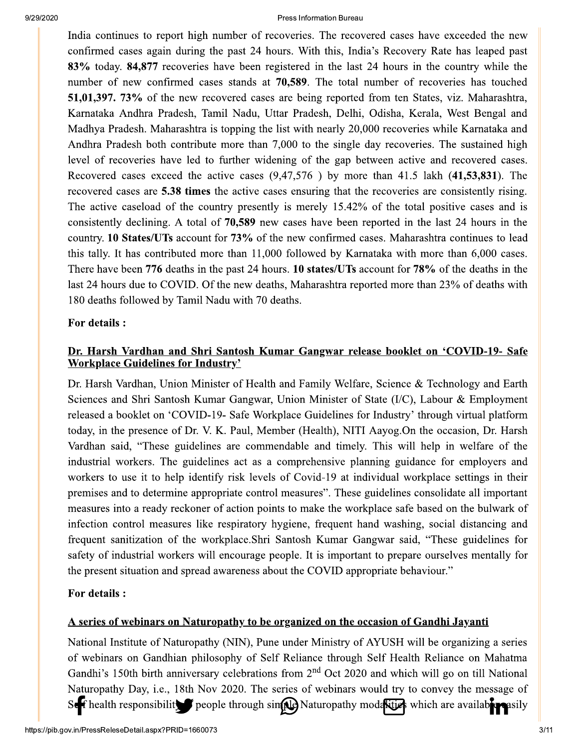India continues to report high number of recoveries. The recovered cases have exceeded the new confirmed cases again during the past 24 hours. With this, India's Recovery Rate has leaped past 83% today. 84,877 recoveries have been registered in the last 24 hours in the country while the number of new confirmed cases stands at 70,589. The total number of recoveries has touched 51,01,397. 73% of the new recovered cases are being reported from ten States, viz. Maharashtra, Karnataka Andhra Pradesh, Tamil Nadu, Uttar Pradesh, Delhi, Odisha, Kerala, West Bengal and Madhya Pradesh. Maharashtra is topping the list with nearly 20,000 recoveries while Karnataka and Andhra Pradesh both contribute more than 7,000 to the single day recoveries. The sustained high level of recoveries have led to further widening of the gap between active and recovered cases. Recovered cases exceed the active cases (9,47,576) by more than 41.5 lakh (41,53,831). The recovered cases are 5.38 times the active cases ensuring that the recoveries are consistently rising. The active caseload of the country presently is merely 15.42% of the total positive cases and is consistently declining. A total of 70,589 new cases have been reported in the last 24 hours in the country. 10 States/UTs account for 73% of the new confirmed cases. Maharashtra continues to lead this tally. It has contributed more than 11,000 followed by Karnataka with more than 6,000 cases. There have been 776 deaths in the past 24 hours. 10 states/UTs account for 78% of the deaths in the last 24 hours due to COVID. Of the new deaths, Maharashtra reported more than 23% of deaths with 180 deaths followed by Tamil Nadu with 70 deaths.

### For details :

### Dr. Harsh Vardhan and Shri Santosh Kumar Gangwar release booklet on 'COVID-19- Safe **Workplace Guidelines for Industry'**

Dr. Harsh Vardhan, Union Minister of Health and Family Welfare, Science & Technology and Earth Sciences and Shri Santosh Kumar Gangwar, Union Minister of State (I/C), Labour & Employment released a booklet on 'COVID-19- Safe Workplace Guidelines for Industry' through virtual platform today, in the presence of Dr. V. K. Paul, Member (Health), NITI Aayog. On the occasion, Dr. Harsh Vardhan said, "These guidelines are commendable and timely. This will help in welfare of the industrial workers. The guidelines act as a comprehensive planning guidance for employers and workers to use it to help identify risk levels of Covid-19 at individual workplace settings in their premises and to determine appropriate control measures". These guidelines consolidate all important measures into a ready reckoner of action points to make the workplace safe based on the bulwark of infection control measures like respiratory hygiene, frequent hand washing, social distancing and frequent sanitization of the workplace. Shri Santosh Kumar Gangwar said, "These guidelines for safety of industrial workers will encourage people. It is important to prepare ourselves mentally for the present situation and spread awareness about the COVID appropriate behaviour."

### For details :

### A series of webinars on Naturopathy to be organized on the occasion of Gandhi Jayanti

National Institute of Naturopathy (NIN), Pune under Ministry of AYUSH will be organizing a series of webinars on Gandhian philosophy of Self Reliance through Self Health Reliance on Mahatma Gandhi's 150th birth anniversary celebrations from 2<sup>nd</sup> Oct 2020 and which will go on till National Naturopathy Day, i.e., 18th Nov 2020. The series of webinars would try to convey the message of See f health responsibility people through sin(Ne) Naturopathy modelstick which are available asily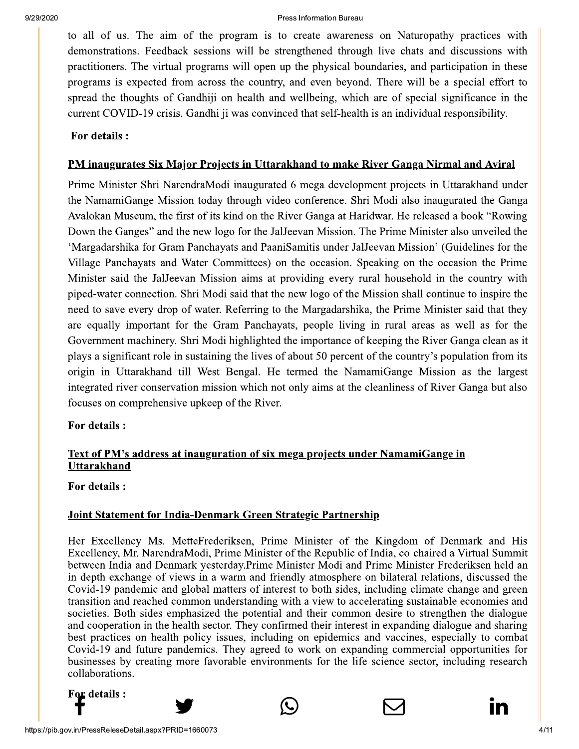to all of us. The aim of the program is to create awareness on Naturopathy practices with demonstrations. Feedback sessions will be strengthened through live chats and discussions with practitioners. The virtual programs will open up the physical boundaries, and participation in these programs is expected from across the country, and even beyond. There will be a special effort to spread the thoughts of Gandhiji on health and wellbeing, which are of special significance in the current COVID-19 crisis. Gandhi ji was convinced that self-health is an individual responsibility.

### For details :

### PM inaugurates Six Major Projects in Uttarakhand to make River Ganga Nirmal and Aviral

Prime Minister Shri NarendraModi inaugurated 6 mega development projects in Uttarakhand under the NamamiGange Mission today through video conference. Shri Modi also inaugurated the Ganga Avalokan Museum, the first of its kind on the River Ganga at Haridwar. He released a book "Rowing" Down the Ganges" and the new logo for the JalJeevan Mission. The Prime Minister also unveiled the 'Margadarshika for Gram Panchayats and PaaniSamitis under JalJeevan Mission' (Guidelines for the Village Panchayats and Water Committees) on the occasion. Speaking on the occasion the Prime Minister said the JalJeevan Mission aims at providing every rural household in the country with piped-water connection. Shri Modi said that the new logo of the Mission shall continue to inspire the need to save every drop of water. Referring to the Margadarshika, the Prime Minister said that they are equally important for the Gram Panchayats, people living in rural areas as well as for the Government machinery. Shri Modi highlighted the importance of keeping the River Ganga clean as it plays a significant role in sustaining the lives of about 50 percent of the country's population from its origin in Uttarakhand till West Bengal. He termed the NamamiGange Mission as the largest integrated river conservation mission which not only aims at the cleanliness of River Ganga but also focuses on comprehensive upkeep of the River.

### For details :

### Text of PM's address at inauguration of six mega projects under NamamiGange in **Uttarakhand**

**For details:** 

### Joint Statement for India-Denmark Green Strategic Partnership

Her Excellency Ms. MetteFrederiksen, Prime Minister of the Kingdom of Denmark and His Excellency, Mr. NarendraModi, Prime Minister of the Republic of India, co-chaired a Virtual Summit between India and Denmark yesterday. Prime Minister Modi and Prime Minister Frederiksen held an in-depth exchange of views in a warm and friendly atmosphere on bilateral relations, discussed the Covid-19 pandemic and global matters of interest to both sides, including climate change and green transition and reached common understanding with a view to accelerating sustainable economies and societies. Both sides emphasized the potential and their common desire to strengthen the dialogue and cooperation in the health sector. They confirmed their interest in expanding dialogue and sharing best practices on health policy issues, including on epidemics and vaccines, especially to combat Covid-19 and future pandemics. They agreed to work on expanding commercial opportunities for businesses by creating more favorable environments for the life science sector, including research collaborations.

For details :





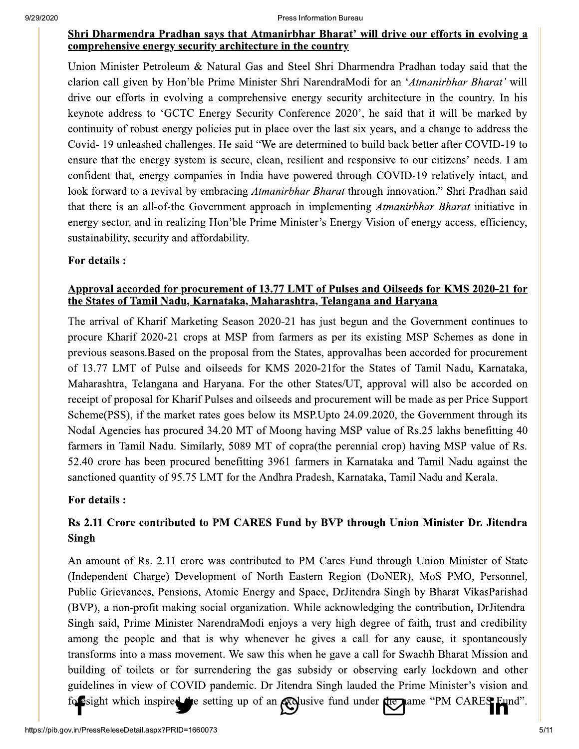### Shri Dharmendra Pradhan says that Atmanirbhar Bharat' will drive our efforts in evolving a comprehensive energy security architecture in the country

Union Minister Petroleum & Natural Gas and Steel Shri Dharmendra Pradhan today said that the clarion call given by Hon'ble Prime Minister Shri NarendraModi for an 'Atmanirbhar Bharat' will drive our efforts in evolving a comprehensive energy security architecture in the country. In his keynote address to 'GCTC Energy Security Conference 2020', he said that it will be marked by continuity of robust energy policies put in place over the last six years, and a change to address the Covid-19 unleashed challenges. He said "We are determined to build back better after COVID-19 to ensure that the energy system is secure, clean, resilient and responsive to our citizens' needs. I am confident that, energy companies in India have powered through COVID-19 relatively intact, and look forward to a revival by embracing *Atmanirbhar Bharat* through innovation." Shri Pradhan said that there is an all-of-the Government approach in implementing *Atmanirbhar Bharat* initiative in energy sector, and in realizing Hon'ble Prime Minister's Energy Vision of energy access, efficiency, sustainability, security and affordability.

### For details :

### Approval accorded for procurement of 13.77 LMT of Pulses and Oilseeds for KMS 2020-21 for the States of Tamil Nadu, Karnataka, Maharashtra, Telangana and Haryana

The arrival of Kharif Marketing Season 2020-21 has just begun and the Government continues to procure Kharif 2020-21 crops at MSP from farmers as per its existing MSP Schemes as done in previous seasons. Based on the proposal from the States, approval has been accorded for procurement of 13.77 LMT of Pulse and oilseeds for KMS 2020-21for the States of Tamil Nadu, Karnataka, Maharashtra, Telangana and Haryana. For the other States/UT, approval will also be accorded on receipt of proposal for Kharif Pulses and oilseeds and procurement will be made as per Price Support Scheme(PSS), if the market rates goes below its MSP. Upto 24.09.2020, the Government through its Nodal Agencies has procured 34.20 MT of Moong having MSP value of Rs.25 lakhs benefitting 40 farmers in Tamil Nadu. Similarly, 5089 MT of copra(the perennial crop) having MSP value of Rs. 52.40 crore has been procured benefitting 3961 farmers in Karnataka and Tamil Nadu against the sanctioned quantity of 95.75 LMT for the Andhra Pradesh, Karnataka, Tamil Nadu and Kerala.

### For details :

# Rs 2.11 Crore contributed to PM CARES Fund by BVP through Union Minister Dr. Jitendra **Singh**

An amount of Rs. 2.11 crore was contributed to PM Cares Fund through Union Minister of State (Independent Charge) Development of North Eastern Region (DoNER), MoS PMO, Personnel, Public Grievances, Pensions, Atomic Energy and Space, DrJitendra Singh by Bharat VikasParishad (BVP), a non-profit making social organization. While acknowledging the contribution, DrJitendra Singh said, Prime Minister NarendraModi enjoys a very high degree of faith, trust and credibility among the people and that is why whenever he gives a call for any cause, it spontaneously transforms into a mass movement. We saw this when he gave a call for Swachh Bharat Mission and building of toilets or for surrendering the gas subsidy or observing early lockdown and other guidelines in view of COVID pandemic. Dr Jitendra Singh lauded the Prime Minister's vision and for esight which inspired the setting up of an explusive fund under the name "PM CARES Fund".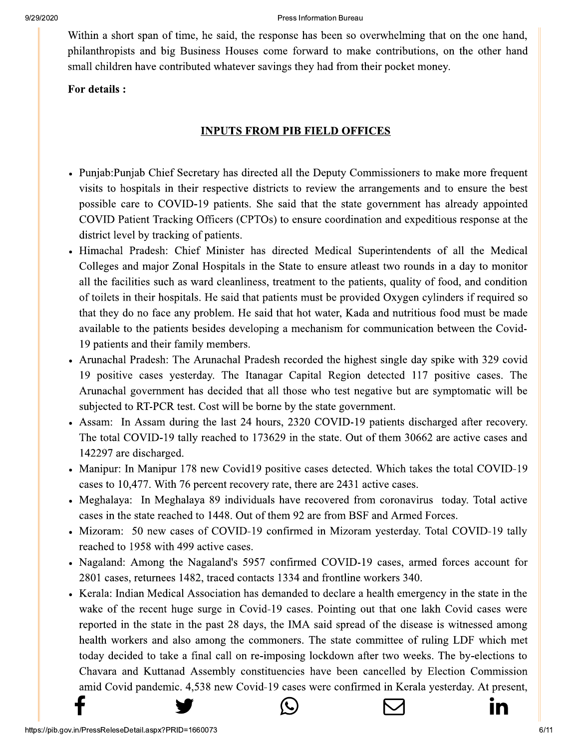Within a short span of time, he said, the response has been so overwhelming that on the one hand, philanthropists and big Business Houses come forward to make contributions, on the other hand small children have contributed whatever savings they had from their pocket money.

### For details :

# **INPUTS FROM PIB FIELD OFFICES**

- Punjab: Punjab Chief Secretary has directed all the Deputy Commissioners to make more frequent visits to hospitals in their respective districts to review the arrangements and to ensure the best possible care to COVID-19 patients. She said that the state government has already appointed COVID Patient Tracking Officers (CPTOs) to ensure coordination and expeditious response at the district level by tracking of patients.
- Himachal Pradesh: Chief Minister has directed Medical Superintendents of all the Medical Colleges and major Zonal Hospitals in the State to ensure at east two rounds in a day to monitor all the facilities such as ward cleanliness, treatment to the patients, quality of food, and condition of toilets in their hospitals. He said that patients must be provided Oxygen cylinders if required so that they do no face any problem. He said that hot water, Kada and nutritious food must be made available to the patients besides developing a mechanism for communication between the Covid-19 patients and their family members.
- Arunachal Pradesh: The Arunachal Pradesh recorded the highest single day spike with 329 covid 19 positive cases yesterday. The Itanagar Capital Region detected 117 positive cases. The Arunachal government has decided that all those who test negative but are symptomatic will be subjected to RT-PCR test. Cost will be borne by the state government.
- Assam: In Assam during the last 24 hours, 2320 COVID-19 patients discharged after recovery. The total COVID-19 tally reached to 173629 in the state. Out of them 30662 are active cases and 142297 are discharged.
- Manipur: In Manipur 178 new Covid19 positive cases detected. Which takes the total COVID-19 cases to 10,477. With 76 percent recovery rate, there are 2431 active cases.
- Meghalaya: In Meghalaya 89 individuals have recovered from coronavirus today. Total active cases in the state reached to 1448. Out of them 92 are from BSF and Armed Forces.
- Mizoram: 50 new cases of COVID-19 confirmed in Mizoram yesterday. Total COVID-19 tally reached to 1958 with 499 active cases.
- Nagaland: Among the Nagaland's 5957 confirmed COVID-19 cases, armed forces account for 2801 cases, returnees 1482, traced contacts 1334 and frontline workers 340.
- Kerala: Indian Medical Association has demanded to declare a health emergency in the state in the wake of the recent huge surge in Covid-19 cases. Pointing out that one lakh Covid cases were reported in the state in the past 28 days, the IMA said spread of the disease is witnessed among health workers and also among the commoners. The state committee of ruling LDF which met today decided to take a final call on re-imposing lockdown after two weeks. The by-elections to Chavara and Kuttanad Assembly constituencies have been cancelled by Election Commission amid Covid pandemic. 4,538 new Covid-19 cases were confirmed in Kerala yesterday. At present,



IN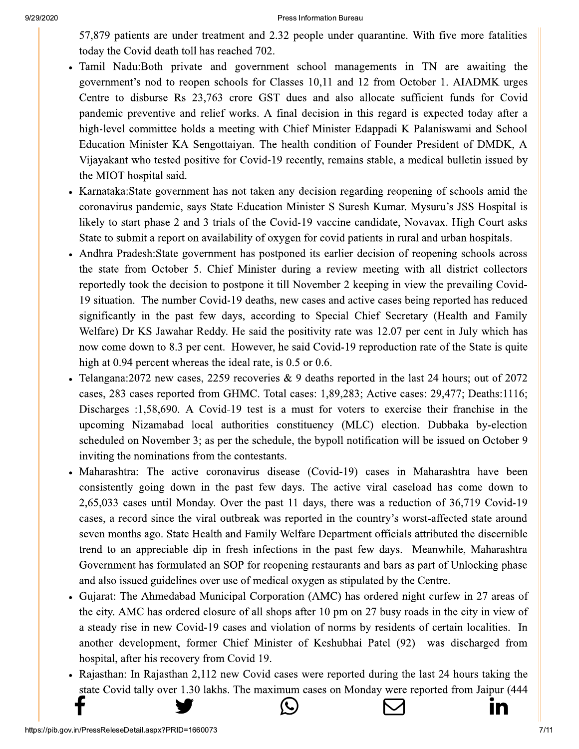57,879 patients are under treatment and 2.32 people under quarantine. With five more fatalities today the Covid death toll has reached 702.

- Tamil Nadu:Both private and government school managements in TN are awaiting the government's nod to reopen schools for Classes 10,11 and 12 from October 1. AIADMK urges Centre to disburse Rs 23,763 crore GST dues and also allocate sufficient funds for Covid pandemic preventive and relief works. A final decision in this regard is expected today after a high-level committee holds a meeting with Chief Minister Edappadi K Palaniswami and School Education Minister KA Sengottaiyan. The health condition of Founder President of DMDK, A Vijayakant who tested positive for Covid-19 recently, remains stable, a medical bulletin issued by the MIOT hospital said.
- Karnataka: State government has not taken any decision regarding reopening of schools amid the coronavirus pandemic, says State Education Minister S Suresh Kumar. Mysuru's JSS Hospital is likely to start phase 2 and 3 trials of the Covid-19 vaccine candidate, Novavax. High Court asks State to submit a report on availability of oxygen for covid patients in rural and urban hospitals.
- Andhra Pradesh: State government has postponed its earlier decision of reopening schools across the state from October 5. Chief Minister during a review meeting with all district collectors reportedly took the decision to postpone it till November 2 keeping in view the prevailing Covid-19 situation. The number Covid-19 deaths, new cases and active cases being reported has reduced significantly in the past few days, according to Special Chief Secretary (Health and Family Welfare) Dr KS Jawahar Reddy. He said the positivity rate was 12.07 per cent in July which has now come down to 8.3 per cent. However, he said Covid-19 reproduction rate of the State is quite high at 0.94 percent whereas the ideal rate, is 0.5 or 0.6.
- Telangana: 2072 new cases, 2259 recoveries & 9 deaths reported in the last 24 hours; out of 2072 cases, 283 cases reported from GHMC. Total cases: 1,89,283; Active cases: 29,477; Deaths:1116; Discharges :1,58,690. A Covid-19 test is a must for voters to exercise their franchise in the upcoming Nizamabad local authorities constituency (MLC) election. Dubbaka by-election scheduled on November 3; as per the schedule, the bypoll notification will be issued on October 9 inviting the nominations from the contestants.
- Maharashtra: The active coronavirus disease (Covid-19) cases in Maharashtra have been consistently going down in the past few days. The active viral caseload has come down to 2,65,033 cases until Monday. Over the past 11 days, there was a reduction of 36,719 Covid-19 cases, a record since the viral outbreak was reported in the country's worst-affected state around seven months ago. State Health and Family Welfare Department officials attributed the discernible trend to an appreciable dip in fresh infections in the past few days. Meanwhile, Maharashtra Government has formulated an SOP for reopening restaurants and bars as part of Unlocking phase and also issued guidelines over use of medical oxygen as stipulated by the Centre.
- Gujarat: The Ahmedabad Municipal Corporation (AMC) has ordered night curfew in 27 areas of the city. AMC has ordered closure of all shops after 10 pm on 27 busy roads in the city in view of a steady rise in new Covid-19 cases and violation of norms by residents of certain localities. In another development, former Chief Minister of Keshubhai Patel (92) was discharged from hospital, after his recovery from Covid 19.
- Rajasthan: In Rajasthan 2,112 new Covid cases were reported during the last 24 hours taking the state Covid tally over 1.30 lakhs. The maximum cases on Monday were reported from Jaipur (444



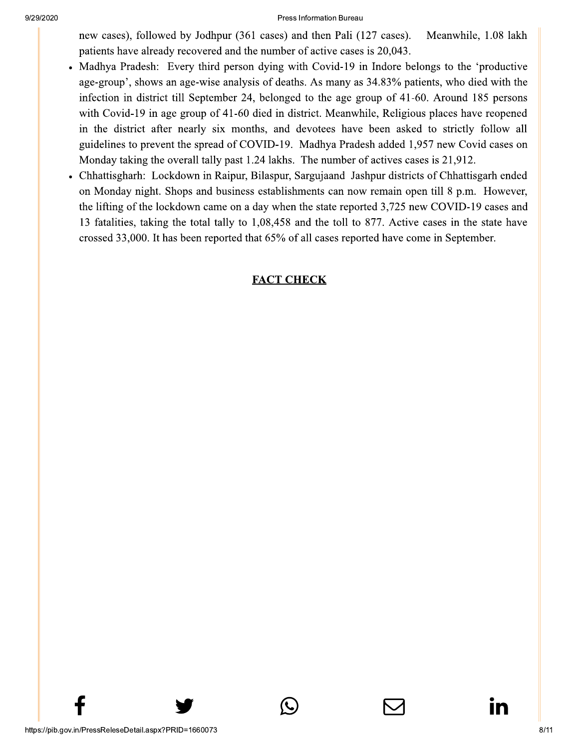new cases), followed by Jodhpur (361 cases) and then Pali (127 cases). Meanwhile, 1.08 lakh patients have already recovered and the number of active cases is 20,043.

- Madhya Pradesh: Every third person dying with Covid-19 in Indore belongs to the 'productive age-group', shows an age-wise analysis of deaths. As many as 34.83% patients, who died with the infection in district till September 24, belonged to the age group of 41-60. Around 185 persons with Covid-19 in age group of 41-60 died in district. Meanwhile, Religious places have reopened in the district after nearly six months, and devotees have been asked to strictly follow all guidelines to prevent the spread of COVID-19. Madhya Pradesh added 1,957 new Covid cases on Monday taking the overall tally past 1.24 lakhs. The number of actives cases is 21,912.
- Chhattisgharh: Lockdown in Raipur, Bilaspur, Sargujaand Jashpur districts of Chhattisgarh ended on Monday night. Shops and business establishments can now remain open till 8 p.m. However, the lifting of the lockdown came on a day when the state reported 3,725 new COVID-19 cases and 13 fatalities, taking the total tally to 1,08,458 and the toll to 877. Active cases in the state have crossed 33,000. It has been reported that 65% of all cases reported have come in September.

## **FACT CHECK**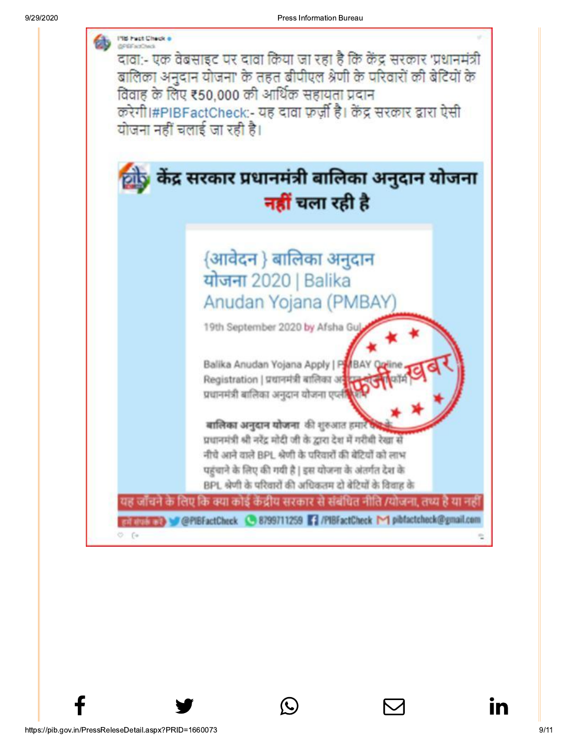